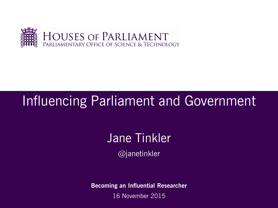

## Influencing Parliament and Government

# Jane Tinkler

@janetinkler

**Becoming an Influential Researcher**

16 November 2015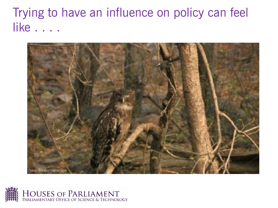Trying to have an influence on policy can feel like . . . .



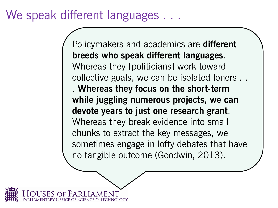### We speak different languages . . .

Policymakers and academics are **different breeds who speak different languages**. Whereas they [politicians] work toward collective goals, we can be isolated loners . . . **Whereas they focus on the short-term while juggling numerous projects, we can devote years to just one research grant**. Whereas they break evidence into small chunks to extract the key messages, we sometimes engage in lofty debates that have no tangible outcome (Goodwin, 2013).

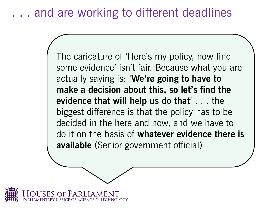### . . . and are working to different deadlines

The caricature of 'Here's my policy, now find some evidence' isn't fair. Because what you are actually saying is: '**We're going to have to make a decision about this, so let's find the evidence that will help us do that**' . . . the biggest difference is that the policy has to be decided in the here and now, and we have to do it on the basis of **whatever evidence there is available** (Senior government official)

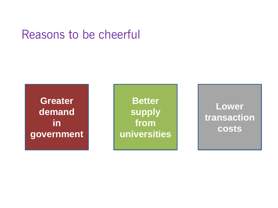### Reasons to be cheerful

**Greater demand in government** 

**Better supply from universities**

**Lower transaction costs**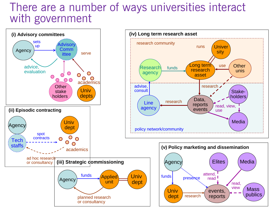### There are a number of ways universities interact with government

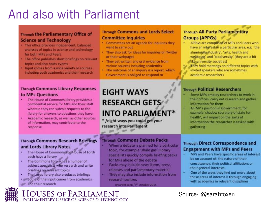## And also with Parliament

#### **Through the Parliamentary Office of Science and Technology**

- · This office provides independent, balanced analyses of topics in science and technology for both MPs and Peers
- . The office publishes short briefings on relevant topics and also hosts events
- . Input comes from a wide variety or sources including both academics and their research

#### **Through Commons and Lords Select Committee Inquiries**

- . Committees set an agenda for inquiries they want to carry out
- . They also ask for ideas for inquiries on Twitter or their webpages
- . They get written and oral evidence from various sources including academics
- The outcome of an inquiry is a report, which Government is obliged to respond to

#### **Through Commons Library Responses** to MPs Questions

- The House of Commons library provides a confidential service for MPs and their staff wherein they can submit requests to the library for answers to questions they have
- Academic research, as well as other sources of information, may contribute to the response

#### **Through Commons Research Briefings** and Lords Library Notes

- The House of Commons and House of Lords ٠ each have a library
- The Commons library has a number of subject specialists who research and write briefings on relevant topics
- The Lords library also produces briefings
- . Some of the input comes from academics
- and their research

### **EIGHT WAYS RESEARCH GETS INTO PARLIAMENT\***

\* /eight ways you could get your research into Parliament

 $\begin{array}{c} \mathbb{R}^n \times \mathbb{R}^n \end{array}$ 

#### **Through Commons Debate Packs**

- When a debate is planned for a particular topic, for example 'shale gas', library specialists quickly compile briefing packs for MPs ahead of the debate
- Packs may include news items, press releases and parliamentary material
- They may also include information from research centres

@SarahFoxen /5<sup>th</sup> October 2015

#### **Through All-Party Parliamentary Groups (APPGs)**

- APPGs are composed of MPs and Peers who have an interest in a particular area, e.g. 'the aluminium industry', 'arts, health and wellbeing' and 'biodiversity' (they are a bit like university societies)
- They hold meetings on different topics with invited speakers who are sometimes academic researchers

#### **Through Political Researchers**

a

- Some MPs employ researchers to work in their offices, carry out research and gather information for them
- An MP's position in Government, for example 'shadow secretary of state for health', will impact on the sorts of information the researcher is tasked with gathering

#### **Through Direct Correspondence and Engagement with MPs and Peers**

- ٠ MPs and Peers have specific areas of interest be on account of: the nature of their constituency; their political affiliation; or their general interests
- ٠ One of the ways they find out more about these areas of interest is through engaging with academics in relevant disciplines

Source: @sarahfoxen

Houses of Parliament PARLIAMENTARY OFFICE OF SCIENCE & TECHNOLOGY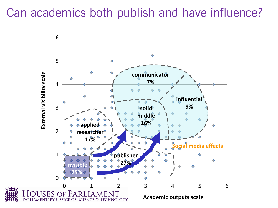### Can academics both publish and have influence?

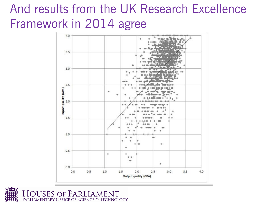### And results from the UK Research Excellence Framework in 2014 agree



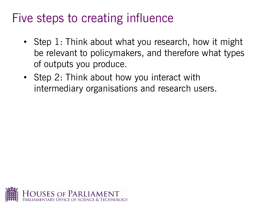### Five steps to creating influence

- Step 1: Think about what you research, how it might be relevant to policymakers, and therefore what types of outputs you produce.
- Step 2: Think about how you interact with intermediary organisations and research users.

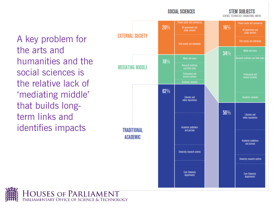#### **SOCIAL SCIENCES**

**STEM SURIECTS** SCIENCE, TECHNOLOGY, ENGINEERING, MATHS

A key problem for the arts and humanities and the social sciences is the relative lack of 'mediating middle' that builds longterm links and identifies impacts



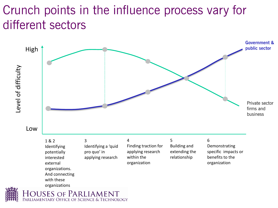## Crunch points in the influence process vary for different sectors

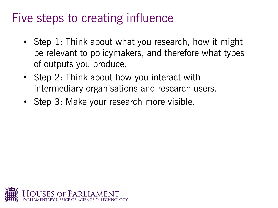### Five steps to creating influence

- Step 1: Think about what you research, how it might be relevant to policymakers, and therefore what types of outputs you produce.
- Step 2: Think about how you interact with intermediary organisations and research users.
- Step 3: Make your research more visible.

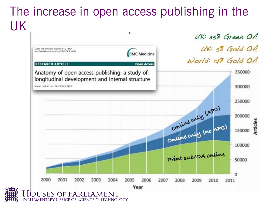### The increase in open access publishing in the UK٠



PARLIAMENTARY OFFICE OF SCIENCE & TECHNOLOGY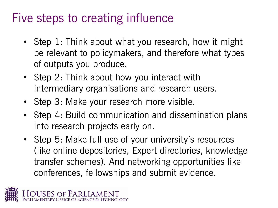## Five steps to creating influence

- Step 1: Think about what you research, how it might be relevant to policymakers, and therefore what types of outputs you produce.
- Step 2: Think about how you interact with intermediary organisations and research users.
- Step 3: Make your research more visible.
- Step 4: Build communication and dissemination plans into research projects early on.
- Step 5: Make full use of your university's resources (like online depositories, Expert directories, knowledge transfer schemes). And networking opportunities like conferences, fellowships and submit evidence.